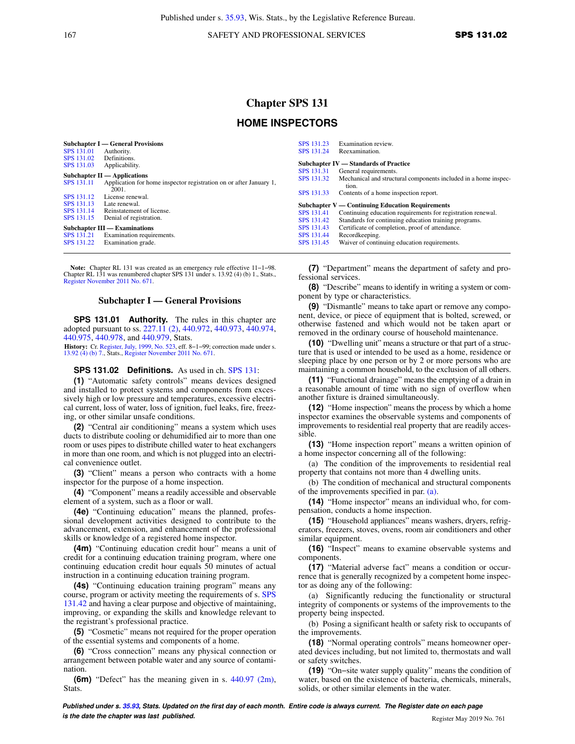167 SAFETY AND PROFESSIONAL SERVICES **SPS 131.02** 

# **Chapter SPS 131 HOME INSPECTORS**

| <b>Subchapter I</b> — General Provisions |                                                                    |
|------------------------------------------|--------------------------------------------------------------------|
| <b>SPS 131.01</b>                        | Authority.                                                         |
| SPS 131.02                               | Definitions.                                                       |
| SPS 131.03                               | Applicability.                                                     |
| Subchapter $II -$ Applications           |                                                                    |
| <b>SPS 131.11</b>                        | Application for home inspector registration on or after January 1, |
|                                          | 2001.                                                              |
| SPS 131.12                               | License renewal.                                                   |
| SPS 131.13                               | Late renewal.                                                      |
| SPS 131.14                               | Reinstatement of license.                                          |
| SPS 131.15                               | Denial of registration.                                            |
| Subchapter III — Examinations            |                                                                    |
| SPS 131.21                               | Examination requirements.                                          |
| SPS 131.22                               | Examination grade.                                                 |

**Note:** Chapter RL 131 was created as an emergency rule effective 11−1−98. Chapter RL 131 was renumbered chapter SPS 131 under s. 13.92 (4) (b) 1., Stats., [Register November 2011 No. 671](https://docs.legis.wisconsin.gov/document/register/671/B/toc).

#### **Subchapter I — General Provisions**

**SPS 131.01 Authority.** The rules in this chapter are adopted pursuant to ss. [227.11 \(2\)](https://docs.legis.wisconsin.gov/document/statutes/227.11(2)), [440.972,](https://docs.legis.wisconsin.gov/document/statutes/440.972) [440.973,](https://docs.legis.wisconsin.gov/document/statutes/440.973) [440.974,](https://docs.legis.wisconsin.gov/document/statutes/440.974) [440.975](https://docs.legis.wisconsin.gov/document/statutes/440.975), [440.978](https://docs.legis.wisconsin.gov/document/statutes/440.978), and [440.979,](https://docs.legis.wisconsin.gov/document/statutes/440.979) Stats.

**History:** Cr. [Register, July, 1999, No. 523,](https://docs.legis.wisconsin.gov/document/register/523/B/toc) eff. 8−1−99; correction made under s. [13.92 \(4\) \(b\) 7.](https://docs.legis.wisconsin.gov/document/statutes/13.92(4)(b)7.), Stats., [Register November 2011 No. 671](https://docs.legis.wisconsin.gov/document/register/671/B/toc).

## **SPS 131.02 Definitions.** As used in ch. [SPS 131:](https://docs.legis.wisconsin.gov/document/administrativecode/ch.%20SPS%20131)

**(1)** "Automatic safety controls" means devices designed and installed to protect systems and components from excessively high or low pressure and temperatures, excessive electrical current, loss of water, loss of ignition, fuel leaks, fire, freezing, or other similar unsafe conditions.

**(2)** "Central air conditioning" means a system which uses ducts to distribute cooling or dehumidified air to more than one room or uses pipes to distribute chilled water to heat exchangers in more than one room, and which is not plugged into an electrical convenience outlet.

**(3)** "Client" means a person who contracts with a home inspector for the purpose of a home inspection.

**(4)** "Component" means a readily accessible and observable element of a system, such as a floor or wall.

**(4e)** "Continuing education" means the planned, professional development activities designed to contribute to the advancement, extension, and enhancement of the professional skills or knowledge of a registered home inspector.

**(4m)** "Continuing education credit hour" means a unit of credit for a continuing education training program, where one continuing education credit hour equals 50 minutes of actual instruction in a continuing education training program.

**(4s)** "Continuing education training program" means any course, program or activity meeting the requirements of s. [SPS](https://docs.legis.wisconsin.gov/document/administrativecode/SPS%20131.42) [131.42](https://docs.legis.wisconsin.gov/document/administrativecode/SPS%20131.42) and having a clear purpose and objective of maintaining, improving, or expanding the skills and knowledge relevant to the registrant's professional practice.

**(5)** "Cosmetic" means not required for the proper operation of the essential systems and components of a home.

**(6)** "Cross connection" means any physical connection or arrangement between potable water and any source of contamination.

**(6m)** "Defect" has the meaning given in s. [440.97 \(2m\),](https://docs.legis.wisconsin.gov/document/statutes/440.97(2m)) Stats.

[SPS 131.23](https://docs.legis.wisconsin.gov/document/administrativecode/SPS%20131.23) Examination review.<br>SPS 131.24 Reexamination. **Reexamination Subchapter IV — Standards of Practice**<br>**SPS** 131.31 General requirements. [SPS 131.31](https://docs.legis.wisconsin.gov/document/administrativecode/SPS%20131.31) General requirements.<br>SPS 131.32 Mechanical and struct Mechanical and structural components included in a home inspection. [SPS 131.33](https://docs.legis.wisconsin.gov/document/administrativecode/SPS%20131.33) Contents of a home inspection report. **Subchapter V — Continuing Education Requirements**<br>SPS 131.41 Continuing education requirements for reg [SPS 131.41](https://docs.legis.wisconsin.gov/document/administrativecode/SPS%20131.41) Continuing education requirements for registration renewal.<br>SPS 131.42 Standards for continuing education training programs. [SPS 131.42](https://docs.legis.wisconsin.gov/document/administrativecode/SPS%20131.42) Standards for continuing education training programs.<br>SPS 131.43 Certificate of completion, proof of attendance. [SPS 131.43](https://docs.legis.wisconsin.gov/document/administrativecode/SPS%20131.43) Certificate of completion, proof of attendance.<br>SPS 131.44 Recordkeeping. [SPS 131.44](https://docs.legis.wisconsin.gov/document/administrativecode/SPS%20131.44) Recordkeeping.<br>SPS 131.45 Waiver of conti Waiver of continuing education requirements.

**(7)** "Department" means the department of safety and professional services.

**(8)** "Describe" means to identify in writing a system or component by type or characteristics.

**(9)** "Dismantle" means to take apart or remove any component, device, or piece of equipment that is bolted, screwed, or otherwise fastened and which would not be taken apart or removed in the ordinary course of household maintenance.

**(10)** "Dwelling unit" means a structure or that part of a structure that is used or intended to be used as a home, residence or sleeping place by one person or by 2 or more persons who are maintaining a common household, to the exclusion of all others.

**(11)** "Functional drainage" means the emptying of a drain in a reasonable amount of time with no sign of overflow when another fixture is drained simultaneously.

**(12)** "Home inspection" means the process by which a home inspector examines the observable systems and components of improvements to residential real property that are readily accessible.

**(13)** "Home inspection report" means a written opinion of a home inspector concerning all of the following:

(a) The condition of the improvements to residential real property that contains not more than 4 dwelling units.

(b) The condition of mechanical and structural components of the improvements specified in par. [\(a\).](https://docs.legis.wisconsin.gov/document/administrativecode/SPS%20131.02(13)(a))

**(14)** "Home inspector" means an individual who, for compensation, conducts a home inspection.

**(15)** "Household appliances" means washers, dryers, refrigerators, freezers, stoves, ovens, room air conditioners and other similar equipment.

**(16)** "Inspect" means to examine observable systems and components.

**(17)** "Material adverse fact" means a condition or occurrence that is generally recognized by a competent home inspector as doing any of the following:

(a) Significantly reducing the functionality or structural integrity of components or systems of the improvements to the property being inspected.

(b) Posing a significant health or safety risk to occupants of the improvements.

**(18)** "Normal operating controls" means homeowner operated devices including, but not limited to, thermostats and wall or safety switches.

**(19)** "On−site water supply quality" means the condition of water, based on the existence of bacteria, chemicals, minerals, solids, or other similar elements in the water.

**Published under s. [35.93,](https://docs.legis.wisconsin.gov/document/statutes/35.93) Stats. Updated on the first day of each month. Entire code is always current. The Register date on each page is the date the chapter was last published. is the date the chapter was last published.** Register May 2019 No. 761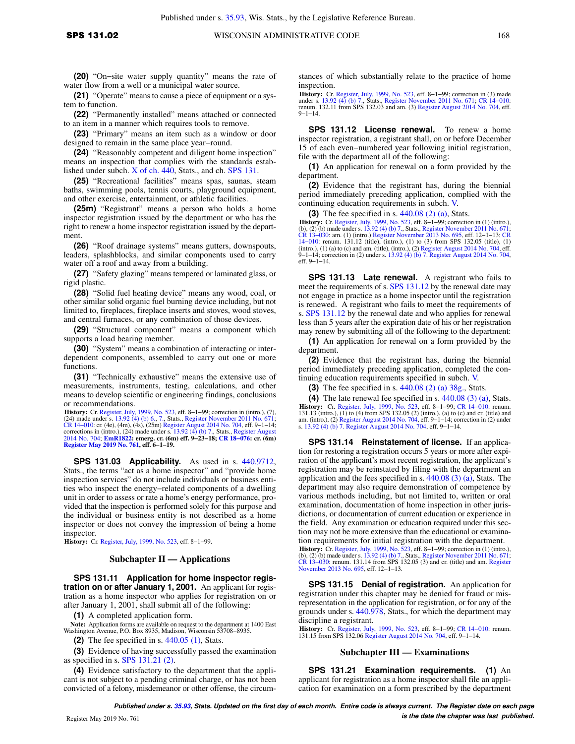**(20)** "On−site water supply quantity" means the rate of water flow from a well or a municipal water source.

**(21)** "Operate" means to cause a piece of equipment or a system to function.

**(22)** "Permanently installed" means attached or connected to an item in a manner which requires tools to remove.

**(23)** "Primary" means an item such as a window or door designed to remain in the same place year−round.

**(24)** "Reasonably competent and diligent home inspection" means an inspection that complies with the standards established under subch. [X of ch. 440](https://docs.legis.wisconsin.gov/document/statutes/subch.%20X%20of%20ch.%20440), Stats., and ch. [SPS 131.](https://docs.legis.wisconsin.gov/document/administrativecode/ch.%20SPS%20131)

**(25)** "Recreational facilities" means spas, saunas, steam baths, swimming pools, tennis courts, playground equipment, and other exercise, entertainment, or athletic facilities.

**(25m)** "Registrant" means a person who holds a home inspector registration issued by the department or who has the right to renew a home inspector registration issued by the department.

**(26)** "Roof drainage systems" means gutters, downspouts, leaders, splashblocks, and similar components used to carry water off a roof and away from a building.

**(27)** "Safety glazing" means tempered or laminated glass, or rigid plastic.

**(28)** "Solid fuel heating device" means any wood, coal, or other similar solid organic fuel burning device including, but not limited to, fireplaces, fireplace inserts and stoves, wood stoves, and central furnaces, or any combination of those devices.

**(29)** "Structural component" means a component which supports a load bearing member.

**(30)** "System" means a combination of interacting or interdependent components, assembled to carry out one or more functions.

**(31)** "Technically exhaustive" means the extensive use of measurements, instruments, testing, calculations, and other means to develop scientific or engineering findings, conclusions or recommendations.

**History:** Cr. [Register, July, 1999, No. 523](https://docs.legis.wisconsin.gov/document/register/523/B/toc), eff. 8−1−99; correction in (intro.), (7), (24) made under s. [13.92 \(4\) \(b\) 6.,](https://docs.legis.wisconsin.gov/document/statutes/13.92(4)(b)6.) [7.,](https://docs.legis.wisconsin.gov/document/statutes/13.92(4)(b)7.) Stats., [Register November 2011 No. 671](https://docs.legis.wisconsin.gov/document/register/671/B/toc); CR 14–010: cr. (4e), (4m), (4s), (25m) [Register August 2014 No. 704](https://docs.legis.wisconsin.gov/document/register/704/B/toc), eff. 9–1–14;<br>corrections in (intro.), (24) made under s. [13.92 \(4\) \(b\) 7.,](https://docs.legis.wisconsin.gov/document/statutes/13.92(4)(b)7.) Stats., [Register August](https://docs.legis.wisconsin.gov/document/register/704/B/toc)<br>[2014 No. 704;](https://docs.legis.wisconsin.gov/document/register/704/B/toc) [EmR1822](https://docs.legis.wisconsin.gov/document/emergencyrules/EmR1822): emerg. cr. (6m) eff. 9–23–18; C **[Register May 2019 No. 761](https://docs.legis.wisconsin.gov/document/register/761/B/toc), eff. 6−1−19.**

**SPS 131.03 Applicability.** As used in s. [440.9712,](https://docs.legis.wisconsin.gov/document/statutes/440.9712) Stats., the terms "act as a home inspector" and "provide home inspection services" do not include individuals or business entities who inspect the energy−related components of a dwelling unit in order to assess or rate a home's energy performance, provided that the inspection is performed solely for this purpose and the individual or business entity is not described as a home inspector or does not convey the impression of being a home inspector.

**History:** Cr. [Register, July, 1999, No. 523](https://docs.legis.wisconsin.gov/document/register/523/B/toc), eff. 8−1−99.

#### **Subchapter II — Applications**

**SPS 131.11 Application for home inspector registration on or after January 1, 2001.** An applicant for registration as a home inspector who applies for registration on or after January 1, 2001, shall submit all of the following:

**(1)** A completed application form.

**Note:** Application forms are available on request to the department at 1400 East Washington Avenue, P.O. Box 8935, Madison, Wisconsin 53708−8935.

**(2)** The fee specified in s. [440.05 \(1\),](https://docs.legis.wisconsin.gov/document/statutes/440.05(1)) Stats.

**(3)** Evidence of having successfully passed the examination as specified in s. [SPS 131.21 \(2\).](https://docs.legis.wisconsin.gov/document/administrativecode/SPS%20131.21(2))

**(4)** Evidence satisfactory to the department that the applicant is not subject to a pending criminal charge, or has not been convicted of a felony, misdemeanor or other offense, the circumstances of which substantially relate to the practice of home inspection.

**History:** Cr. [Register, July, 1999, No. 523,](https://docs.legis.wisconsin.gov/document/register/523/B/toc) eff. 8−1−99; correction in (3) made under s. [13.92 \(4\) \(b\) 7.,](https://docs.legis.wisconsin.gov/document/statutes/13.92(4)(b)7.) Stats., [Register November 2011 No. 671;](https://docs.legis.wisconsin.gov/document/register/671/B/toc) [CR 14−010](https://docs.legis.wisconsin.gov/document/cr/2014/10): renum. 132.11 from SPS 132.03 and am. (3) [Register August 2014 No. 704](https://docs.legis.wisconsin.gov/document/register/704/B/toc), eff. 9−1−14.

**SPS 131.12 License renewal.** To renew a home inspector registration, a registrant shall, on or before December 15 of each even−numbered year following initial registration, file with the department all of the following:

**(1)** An application for renewal on a form provided by the department.

**(2)** Evidence that the registrant has, during the biennial period immediately preceding application, complied with the continuing education requirements in subch. [V.](https://docs.legis.wisconsin.gov/document/administrativecode/subch.%20V%20of%20ch.%20SPS%20131)

**(3)** The fee specified in s. [440.08 \(2\) \(a\)](https://docs.legis.wisconsin.gov/document/statutes/440.08(2)(a)), Stats.

**History:** Cr. [Register, July, 1999, No. 523](https://docs.legis.wisconsin.gov/document/register/523/B/toc), eff. 8–1–99; correction in (1) (intro.), (b), (2) (b) made under s. [13.92 \(4\) \(b\) 7.](https://docs.legis.wisconsin.gov/document/statutes/13.92(4)(b)7.), Stats., [Register November 2011 No. 671](https://docs.legis.wisconsin.gov/document/register/671/B/toc); (CR 13–030: am. (1) (intro.) Register November 20 eff. 9−1−14.

**SPS 131.13 Late renewal.** A registrant who fails to meet the requirements of s. [SPS 131.12](https://docs.legis.wisconsin.gov/document/administrativecode/SPS%20131.12) by the renewal date may not engage in practice as a home inspector until the registration is renewed. A registrant who fails to meet the requirements of s. [SPS 131.12](https://docs.legis.wisconsin.gov/document/administrativecode/SPS%20131.12) by the renewal date and who applies for renewal less than 5 years after the expiration date of his or her registration may renew by submitting all of the following to the department:

**(1)** An application for renewal on a form provided by the department.

**(2)** Evidence that the registrant has, during the biennial period immediately preceding application, completed the continuing education requirements specified in subch. [V.](https://docs.legis.wisconsin.gov/document/administrativecode/subch.%20V%20of%20ch.%20SPS%20131)

**(3)** The fee specified in s. [440.08 \(2\) \(a\) 38g.](https://docs.legis.wisconsin.gov/document/statutes/440.08(2)(a)38g.), Stats.

**(4)** The late renewal fee specified in s. [440.08 \(3\) \(a\)](https://docs.legis.wisconsin.gov/document/statutes/440.08(3)(a)), Stats.

**History:** Cr. [Register, July, 1999, No. 523,](https://docs.legis.wisconsin.gov/document/register/523/B/toc) eff. 8−1−99; [CR 14−010](https://docs.legis.wisconsin.gov/document/cr/2014/10): renum. 131.13 (intro.), (1) to (4) from SPS 132.05 (2) (intro.), (a) to (c) and cr. (title) and<br>am. (intro.), (2) [Register August 2014 No. 704,](https://docs.legis.wisconsin.gov/document/register/704/B/toc) eff. 9–1–14; correction in (2) under<br>s. [13.92 \(4\) \(b\) 7.](https://docs.legis.wisconsin.gov/document/statutes/13.92(4)(b)7.) Register August 2014 No. 70

**SPS 131.14 Reinstatement of license.** If an application for restoring a registration occurs 5 years or more after expiration of the applicant's most recent registration, the applicant's registration may be reinstated by filing with the department an application and the fees specified in s. [440.08 \(3\) \(a\)](https://docs.legis.wisconsin.gov/document/statutes/440.08(3)(a)), Stats. The department may also require demonstration of competence by various methods including, but not limited to, written or oral examination, documentation of home inspection in other jurisdictions, or documentation of current education or experience in the field. Any examination or education required under this section may not be more extensive than the educational or examination requirements for initial registration with the department. **History:** Cr. [Register, July, 1999, No. 523](https://docs.legis.wisconsin.gov/document/register/523/B/toc), eff. 8−1−99; correction in (1) (intro.), (b), (2) (b) made under s. [13.92 \(4\) \(b\) 7.](https://docs.legis.wisconsin.gov/document/statutes/13.92(4)(b)7.), Stats., [Register November 2011 No. 671](https://docs.legis.wisconsin.gov/document/register/671/B/toc); [CR 13−030](https://docs.legis.wisconsin.gov/document/cr/2013/30): renum. 131.14 from SPS 132.05 (3) and cr. (title) and am. [Register](https://docs.legis.wisconsin.gov/document/register/695/B/toc) [November 2013 No. 695,](https://docs.legis.wisconsin.gov/document/register/695/B/toc) eff. 12−1−13.

**SPS 131.15 Denial of registration.** An application for registration under this chapter may be denied for fraud or misrepresentation in the application for registration, or for any of the grounds under s. [440.978,](https://docs.legis.wisconsin.gov/document/statutes/440.978) Stats., for which the department may discipline a registrant.

**History:** Cr. [Register, July, 1999, No. 523,](https://docs.legis.wisconsin.gov/document/register/523/B/toc) eff. 8−1−99; [CR 14−010](https://docs.legis.wisconsin.gov/document/cr/2014/10): renum. 131.15 from SPS 132.06 [Register August 2014 No. 704](https://docs.legis.wisconsin.gov/document/register/704/B/toc), eff. 9−1−14.

#### **Subchapter III — Examinations**

**SPS 131.21 Examination requirements. (1)** An applicant for registration as a home inspector shall file an application for examination on a form prescribed by the department

**Published under s. [35.93,](https://docs.legis.wisconsin.gov/document/statutes/35.93) Stats. Updated on the first day of each month. Entire code is always current. The Register date on each page is the date the chapter was last published.**  $\blacksquare$  Register May 2019 No. 761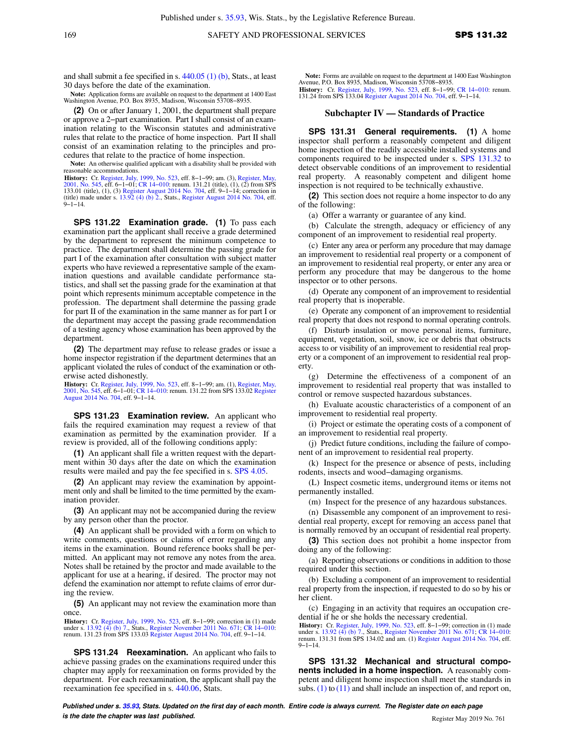and shall submit a fee specified in s. [440.05 \(1\) \(b\),](https://docs.legis.wisconsin.gov/document/statutes/440.05(1)(b)) Stats., at least 30 days before the date of the examination.

**Note:** Application forms are available on request to the department at 1400 East Washington Avenue, P.O. Box 8935, Madison, Wisconsin 53708−8935.

**(2)** On or after January 1, 2001, the department shall prepare or approve a 2−part examination. Part I shall consist of an examination relating to the Wisconsin statutes and administrative rules that relate to the practice of home inspection. Part II shall consist of an examination relating to the principles and procedures that relate to the practice of home inspection.

**Note:** An otherwise qualified applicant with a disability shall be provided with reasonable accommodations.

**History:** Cr. [Register, July, 1999, No. 523](https://docs.legis.wisconsin.gov/document/register/523/B/toc), eff. 8–1–99; am. (3), [Register, May,](https://docs.legis.wisconsin.gov/document/register/545/B/toc)<br>[2001, No. 545](https://docs.legis.wisconsin.gov/document/register/545/B/toc), eff. 6–1–01; CR 14–010: renum. 131.21 (itile), (1), (2) from SPS<br>133.01 (title), (1), (3) [Register August 2014 No. 704,](https://docs.legis.wisconsin.gov/document/register/704/B/toc) eff. (title) made under s. [13.92 \(4\) \(b\) 2.,](https://docs.legis.wisconsin.gov/document/statutes/13.92(4)(b)2.) Stats., [Register August 2014 No. 704,](https://docs.legis.wisconsin.gov/document/register/704/B/toc) eff. 9−1−14.

**SPS 131.22 Examination grade. (1)** To pass each examination part the applicant shall receive a grade determined by the department to represent the minimum competence to practice. The department shall determine the passing grade for part I of the examination after consultation with subject matter experts who have reviewed a representative sample of the examination questions and available candidate performance statistics, and shall set the passing grade for the examination at that point which represents minimum acceptable competence in the profession. The department shall determine the passing grade for part II of the examination in the same manner as for part I or the department may accept the passing grade recommendation of a testing agency whose examination has been approved by the department.

**(2)** The department may refuse to release grades or issue a home inspector registration if the department determines that an applicant violated the rules of conduct of the examination or otherwise acted dishonestly.

**History: Cr.** [Register, July, 1999, No. 523](https://docs.legis.wisconsin.gov/document/register/523/B/toc), eff. 8–1–99; am. (1), [Register, May,](https://docs.legis.wisconsin.gov/document/register/545/B/toc)<br>[2001, No. 545](https://docs.legis.wisconsin.gov/document/register/545/B/toc), eff. 6–1–01; [CR 14−010](https://docs.legis.wisconsin.gov/document/cr/2014/10): renum. 131.22 from SPS 133.02 [Register](https://docs.legis.wisconsin.gov/document/register/704/B/toc)<br>[August 2014 No. 704](https://docs.legis.wisconsin.gov/document/register/704/B/toc), eff. 9–1–14.

**SPS 131.23 Examination review.** An applicant who fails the required examination may request a review of that examination as permitted by the examination provider. If a review is provided, all of the following conditions apply:

**(1)** An applicant shall file a written request with the department within 30 days after the date on which the examination results were mailed and pay the fee specified in s. [SPS 4.05](https://docs.legis.wisconsin.gov/document/administrativecode/SPS%204.05).

**(2)** An applicant may review the examination by appointment only and shall be limited to the time permitted by the examination provider.

**(3)** An applicant may not be accompanied during the review by any person other than the proctor.

**(4)** An applicant shall be provided with a form on which to write comments, questions or claims of error regarding any items in the examination. Bound reference books shall be permitted. An applicant may not remove any notes from the area. Notes shall be retained by the proctor and made available to the applicant for use at a hearing, if desired. The proctor may not defend the examination nor attempt to refute claims of error during the review.

**(5)** An applicant may not review the examination more than once.

**History:** Cr. [Register, July, 1999, No. 523](https://docs.legis.wisconsin.gov/document/register/523/B/toc), eff. 8−1−99; correction in (1) made under s. [13.92 \(4\) \(b\) 7.](https://docs.legis.wisconsin.gov/document/statutes/13.92(4)(b)7.), Stats., [Register November 2011 No. 671;](https://docs.legis.wisconsin.gov/document/register/671/B/toc) [CR 14−010](https://docs.legis.wisconsin.gov/document/cr/2014/10): renum. 131.23 from SPS 133.03 [Register August 2014 No. 704,](https://docs.legis.wisconsin.gov/document/register/704/B/toc) eff. 9−1−14.

**SPS 131.24 Reexamination.** An applicant who fails to achieve passing grades on the examinations required under this chapter may apply for reexamination on forms provided by the department. For each reexamination, the applicant shall pay the reexamination fee specified in s. [440.06](https://docs.legis.wisconsin.gov/document/statutes/440.06), Stats.

Note: Forms are available on request to the department at 1400 East Washington<br>Avenue, P.O. Box 8935, Madison, Wisconsin 53708–8935.<br>History: Cr. [Register, July, 1999, No. 523,](https://docs.legis.wisconsin.gov/document/register/523/B/toc) eff. 8–1–99; CR 14–010: renum.<br>H31.24 from SP

#### **Subchapter IV — Standards of Practice**

**SPS 131.31 General requirements. (1)** A home inspector shall perform a reasonably competent and diligent home inspection of the readily accessible installed systems and components required to be inspected under s. [SPS 131.32](https://docs.legis.wisconsin.gov/document/administrativecode/SPS%20131.32) to detect observable conditions of an improvement to residential real property. A reasonably competent and diligent home inspection is not required to be technically exhaustive.

**(2)** This section does not require a home inspector to do any of the following:

(a) Offer a warranty or guarantee of any kind.

(b) Calculate the strength, adequacy or efficiency of any component of an improvement to residential real property.

(c) Enter any area or perform any procedure that may damage an improvement to residential real property or a component of an improvement to residential real property, or enter any area or perform any procedure that may be dangerous to the home inspector or to other persons.

(d) Operate any component of an improvement to residential real property that is inoperable.

(e) Operate any component of an improvement to residential real property that does not respond to normal operating controls.

(f) Disturb insulation or move personal items, furniture, equipment, vegetation, soil, snow, ice or debris that obstructs access to or visibility of an improvement to residential real property or a component of an improvement to residential real property.

(g) Determine the effectiveness of a component of an improvement to residential real property that was installed to control or remove suspected hazardous substances.

(h) Evaluate acoustic characteristics of a component of an improvement to residential real property.

(i) Project or estimate the operating costs of a component of an improvement to residential real property.

(j) Predict future conditions, including the failure of component of an improvement to residential real property.

(k) Inspect for the presence or absence of pests, including rodents, insects and wood−damaging organisms.

(L) Inspect cosmetic items, underground items or items not permanently installed.

(m) Inspect for the presence of any hazardous substances.

(n) Disassemble any component of an improvement to residential real property, except for removing an access panel that is normally removed by an occupant of residential real property.

**(3)** This section does not prohibit a home inspector from doing any of the following:

(a) Reporting observations or conditions in addition to those required under this section.

(b) Excluding a component of an improvement to residential real property from the inspection, if requested to do so by his or her client.

(c) Engaging in an activity that requires an occupation credential if he or she holds the necessary credential.

**History:** Cr. [Register, July, 1999, No. 523,](https://docs.legis.wisconsin.gov/document/register/523/B/toc) eff. 8−1−99; correction in (1) made under s. [13.92 \(4\) \(b\) 7.,](https://docs.legis.wisconsin.gov/document/statutes/13.92(4)(b)7.) Stats., [Register November 2011 No. 671;](https://docs.legis.wisconsin.gov/document/register/671/B/toc) [CR 14−010](https://docs.legis.wisconsin.gov/document/cr/2014/10): renum. 131.31 from SPS 134.02 and am. (1) [Register August 2014 No. 704](https://docs.legis.wisconsin.gov/document/register/704/B/toc), eff. 9−1−14.

**SPS 131.32 Mechanical and structural components included in a home inspection.** A reasonably competent and diligent home inspection shall meet the standards in subs.  $(1)$  to  $(11)$  and shall include an inspection of, and report on,

**Published under s. [35.93,](https://docs.legis.wisconsin.gov/document/statutes/35.93) Stats. Updated on the first day of each month. Entire code is always current. The Register date on each page is the date the chapter was last published. Conserved Account 2019 No. 761 Register May 2019 No. 761**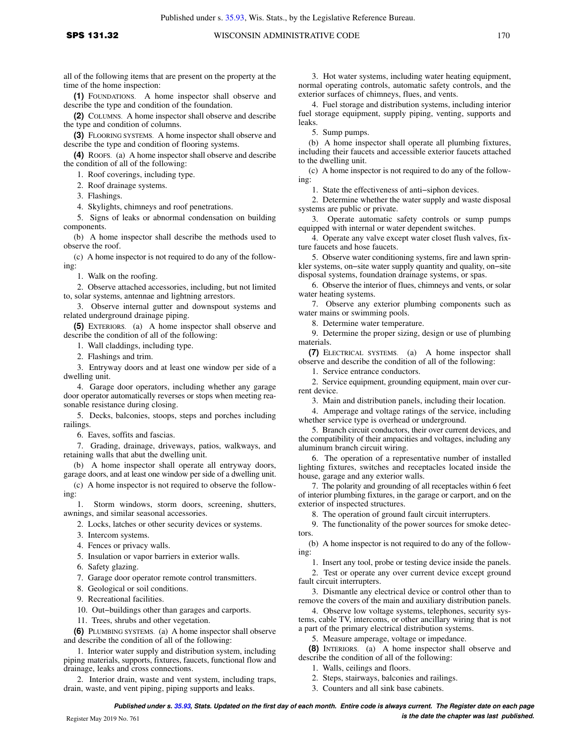all of the following items that are present on the property at the time of the home inspection:

**(1)** FOUNDATIONS. A home inspector shall observe and describe the type and condition of the foundation.

**(2)** COLUMNS. A home inspector shall observe and describe the type and condition of columns.

**(3)** FLOORING SYSTEMS. A home inspector shall observe and describe the type and condition of flooring systems.

**(4)** ROOFS. (a) A home inspector shall observe and describe the condition of all of the following:

1. Roof coverings, including type.

2. Roof drainage systems.

3. Flashings.

4. Skylights, chimneys and roof penetrations.

5. Signs of leaks or abnormal condensation on building components.

(b) A home inspector shall describe the methods used to observe the roof.

(c) A home inspector is not required to do any of the following:

1. Walk on the roofing.

2. Observe attached accessories, including, but not limited to, solar systems, antennae and lightning arrestors.

3. Observe internal gutter and downspout systems and related underground drainage piping.

**(5)** EXTERIORS. (a) A home inspector shall observe and describe the condition of all of the following:

1. Wall claddings, including type.

2. Flashings and trim.

3. Entryway doors and at least one window per side of a dwelling unit.

4. Garage door operators, including whether any garage door operator automatically reverses or stops when meeting reasonable resistance during closing.

5. Decks, balconies, stoops, steps and porches including railings.

6. Eaves, soffits and fascias.

7. Grading, drainage, driveways, patios, walkways, and retaining walls that abut the dwelling unit.

(b) A home inspector shall operate all entryway doors, garage doors, and at least one window per side of a dwelling unit.

(c) A home inspector is not required to observe the following:

1. Storm windows, storm doors, screening, shutters, awnings, and similar seasonal accessories.

2. Locks, latches or other security devices or systems.

3. Intercom systems.

4. Fences or privacy walls.

5. Insulation or vapor barriers in exterior walls.

6. Safety glazing.

7. Garage door operator remote control transmitters.

8. Geological or soil conditions.

9. Recreational facilities.

10. Out−buildings other than garages and carports.

11. Trees, shrubs and other vegetation.

**(6)** PLUMBING SYSTEMS. (a) A home inspector shall observe and describe the condition of all of the following:

1. Interior water supply and distribution system, including piping materials, supports, fixtures, faucets, functional flow and drainage, leaks and cross connections.

2. Interior drain, waste and vent system, including traps, drain, waste, and vent piping, piping supports and leaks.

3. Hot water systems, including water heating equipment, normal operating controls, automatic safety controls, and the exterior surfaces of chimneys, flues, and vents.

4. Fuel storage and distribution systems, including interior fuel storage equipment, supply piping, venting, supports and leaks.

5. Sump pumps.

(b) A home inspector shall operate all plumbing fixtures, including their faucets and accessible exterior faucets attached to the dwelling unit.

(c) A home inspector is not required to do any of the following:

1. State the effectiveness of anti−siphon devices.

2. Determine whether the water supply and waste disposal systems are public or private.

3. Operate automatic safety controls or sump pumps equipped with internal or water dependent switches.

4. Operate any valve except water closet flush valves, fixture faucets and hose faucets.

5. Observe water conditioning systems, fire and lawn sprinkler systems, on−site water supply quantity and quality, on−site disposal systems, foundation drainage systems, or spas.

6. Observe the interior of flues, chimneys and vents, or solar water heating systems.

7. Observe any exterior plumbing components such as water mains or swimming pools.

8. Determine water temperature.

9. Determine the proper sizing, design or use of plumbing materials.

**(7)** ELECTRICAL SYSTEMS. (a) A home inspector shall observe and describe the condition of all of the following:

1. Service entrance conductors.

2. Service equipment, grounding equipment, main over current device.

3. Main and distribution panels, including their location.

4. Amperage and voltage ratings of the service, including whether service type is overhead or underground.

5. Branch circuit conductors, their over current devices, and the compatibility of their ampacities and voltages, including any aluminum branch circuit wiring.

6. The operation of a representative number of installed lighting fixtures, switches and receptacles located inside the house, garage and any exterior walls.

7. The polarity and grounding of all receptacles within 6 feet of interior plumbing fixtures, in the garage or carport, and on the exterior of inspected structures.

8. The operation of ground fault circuit interrupters.

9. The functionality of the power sources for smoke detectors.

(b) A home inspector is not required to do any of the following:

1. Insert any tool, probe or testing device inside the panels.

2. Test or operate any over current device except ground fault circuit interrupters.

3. Dismantle any electrical device or control other than to remove the covers of the main and auxiliary distribution panels.

4. Observe low voltage systems, telephones, security systems, cable TV, intercoms, or other ancillary wiring that is not a part of the primary electrical distribution systems.

5. Measure amperage, voltage or impedance.

**(8)** INTERIORS. (a) A home inspector shall observe and describe the condition of all of the following:

1. Walls, ceilings and floors.

2. Steps, stairways, balconies and railings.

3. Counters and all sink base cabinets.

**Published under s. [35.93,](https://docs.legis.wisconsin.gov/document/statutes/35.93) Stats. Updated on the first day of each month. Entire code is always current. The Register date on each page is the date the chapter was last published.** Register May 2019 No. 761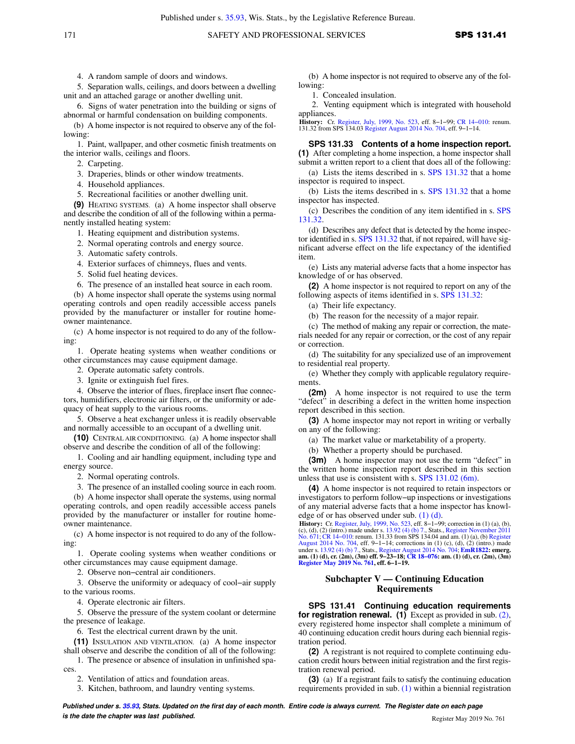4. A random sample of doors and windows.

5. Separation walls, ceilings, and doors between a dwelling unit and an attached garage or another dwelling unit.

6. Signs of water penetration into the building or signs of abnormal or harmful condensation on building components.

(b) A home inspector is not required to observe any of the following:

1. Paint, wallpaper, and other cosmetic finish treatments on the interior walls, ceilings and floors.

2. Carpeting.

3. Draperies, blinds or other window treatments.

4. Household appliances.

5. Recreational facilities or another dwelling unit.

**(9)** HEATING SYSTEMS. (a) A home inspector shall observe and describe the condition of all of the following within a permanently installed heating system:

1. Heating equipment and distribution systems.

2. Normal operating controls and energy source.

3. Automatic safety controls.

4. Exterior surfaces of chimneys, flues and vents.

5. Solid fuel heating devices.

6. The presence of an installed heat source in each room.

(b) A home inspector shall operate the systems using normal operating controls and open readily accessible access panels provided by the manufacturer or installer for routine homeowner maintenance.

(c) A home inspector is not required to do any of the following:

1. Operate heating systems when weather conditions or other circumstances may cause equipment damage.

2. Operate automatic safety controls.

3. Ignite or extinguish fuel fires.

4. Observe the interior of flues, fireplace insert flue connectors, humidifiers, electronic air filters, or the uniformity or adequacy of heat supply to the various rooms.

5. Observe a heat exchanger unless it is readily observable and normally accessible to an occupant of a dwelling unit.

**(10)** CENTRAL AIR CONDITIONING. (a) A home inspector shall observe and describe the condition of all of the following:

1. Cooling and air handling equipment, including type and energy source.

2. Normal operating controls.

3. The presence of an installed cooling source in each room.

(b) A home inspector shall operate the systems, using normal operating controls, and open readily accessible access panels provided by the manufacturer or installer for routine homeowner maintenance.

(c) A home inspector is not required to do any of the following:

1. Operate cooling systems when weather conditions or other circumstances may cause equipment damage.

2. Observe non−central air conditioners.

3. Observe the uniformity or adequacy of cool−air supply to the various rooms.

4. Operate electronic air filters.

5. Observe the pressure of the system coolant or determine the presence of leakage.

6. Test the electrical current drawn by the unit.

**(11)** INSULATION AND VENTILATION. (a) A home inspector shall observe and describe the condition of all of the following:

1. The presence or absence of insulation in unfinished spaces.

2. Ventilation of attics and foundation areas.

3. Kitchen, bathroom, and laundry venting systems.

(b) A home inspector is not required to observe any of the following:

1. Concealed insulation.

2. Venting equipment which is integrated with household appliances.

**History:** Cr. [Register, July, 1999, No. 523,](https://docs.legis.wisconsin.gov/document/register/523/B/toc) eff. 8−1−99; [CR 14−010](https://docs.legis.wisconsin.gov/document/cr/2014/10): renum. 131.32 from SPS 134.03 [Register August 2014 No. 704](https://docs.legis.wisconsin.gov/document/register/704/B/toc), eff. 9−1−14.

**SPS 131.33 Contents of a home inspection report. (1)** After completing a home inspection, a home inspector shall submit a written report to a client that does all of the following:

(a) Lists the items described in s. [SPS 131.32](https://docs.legis.wisconsin.gov/document/administrativecode/SPS%20131.32) that a home inspector is required to inspect.

(b) Lists the items described in s. [SPS 131.32](https://docs.legis.wisconsin.gov/document/administrativecode/SPS%20131.32) that a home inspector has inspected.

(c) Describes the condition of any item identified in s. [SPS](https://docs.legis.wisconsin.gov/document/administrativecode/SPS%20131.32) [131.32.](https://docs.legis.wisconsin.gov/document/administrativecode/SPS%20131.32)

(d) Describes any defect that is detected by the home inspector identified in s. [SPS 131.32](https://docs.legis.wisconsin.gov/document/administrativecode/SPS%20131.32) that, if not repaired, will have significant adverse effect on the life expectancy of the identified item.

(e) Lists any material adverse facts that a home inspector has knowledge of or has observed.

**(2)** A home inspector is not required to report on any of the following aspects of items identified in s. [SPS 131.32:](https://docs.legis.wisconsin.gov/document/administrativecode/SPS%20131.32)

(a) Their life expectancy.

(b) The reason for the necessity of a major repair.

(c) The method of making any repair or correction, the materials needed for any repair or correction, or the cost of any repair or correction.

(d) The suitability for any specialized use of an improvement to residential real property.

(e) Whether they comply with applicable regulatory requirements.

**(2m)** A home inspector is not required to use the term "defect" in describing a defect in the written home inspection report described in this section.

**(3)** A home inspector may not report in writing or verbally on any of the following:

(a) The market value or marketability of a property.

(b) Whether a property should be purchased.

**(3m)** A home inspector may not use the term "defect" in the written home inspection report described in this section unless that use is consistent with s. [SPS 131.02 \(6m\)](https://docs.legis.wisconsin.gov/document/administrativecode/SPS%20131.02(6m)).

**(4)** A home inspector is not required to retain inspectors or investigators to perform follow−up inspections or investigations of any material adverse facts that a home inspector has knowledge of or has observed under sub. [\(1\) \(d\).](https://docs.legis.wisconsin.gov/document/administrativecode/SPS%20131.33(1)(d))

**History:** Cr. [Register, July, 1999, No. 523](https://docs.legis.wisconsin.gov/document/register/523/B/toc), eff. 8–1–99; correction in (1) (a), (b), (c), (d), (2) (intro.) made under s. [13.92 \(4\) \(b\) 7.,](https://docs.legis.wisconsin.gov/document/statutes/13.92(4)(b)7.) Stats., [Register November 2011](https://docs.legis.wisconsin.gov/document/register/671/B/toc) [No. 671](https://docs.legis.wisconsin.gov/document/register/671/B/toc); CR 14–010: renum. 131.33 from SPS 134.0 under s. [13.92 \(4\) \(b\) 7.](https://docs.legis.wisconsin.gov/document/statutes/13.92(4)(b)7.), Stats., [Register August 2014 No. 704](https://docs.legis.wisconsin.gov/document/register/704/B/toc); **[EmR1822](https://docs.legis.wisconsin.gov/document/emergencyrules/EmR1822): emerg.**<br>**am. (1) (d), cr. (2m), (3m) eff. 9–23–18; CR 18–076: am. (1) (d), cr. (2m), (3m)**<br>**[Register May 2019 No. 761](https://docs.legis.wisconsin.gov/document/register/761/B/toc), eff. 6–1–19.** 

### **Subchapter V — Continuing Education Requirements**

**SPS 131.41 Continuing education requirements for registration renewal. (1)** Except as provided in sub. [\(2\),](https://docs.legis.wisconsin.gov/document/administrativecode/SPS%20131.41(2)) every registered home inspector shall complete a minimum of 40 continuing education credit hours during each biennial registration period.

**(2)** A registrant is not required to complete continuing education credit hours between initial registration and the first registration renewal period.

**(3)** (a) If a registrant fails to satisfy the continuing education requirements provided in sub. [\(1\)](https://docs.legis.wisconsin.gov/document/administrativecode/SPS%20131.41(1)) within a biennial registration

**Published under s. [35.93,](https://docs.legis.wisconsin.gov/document/statutes/35.93) Stats. Updated on the first day of each month. Entire code is always current. The Register date on each page is the date the chapter was last published. is the date the chapter was last published.** Register May 2019 No. 761